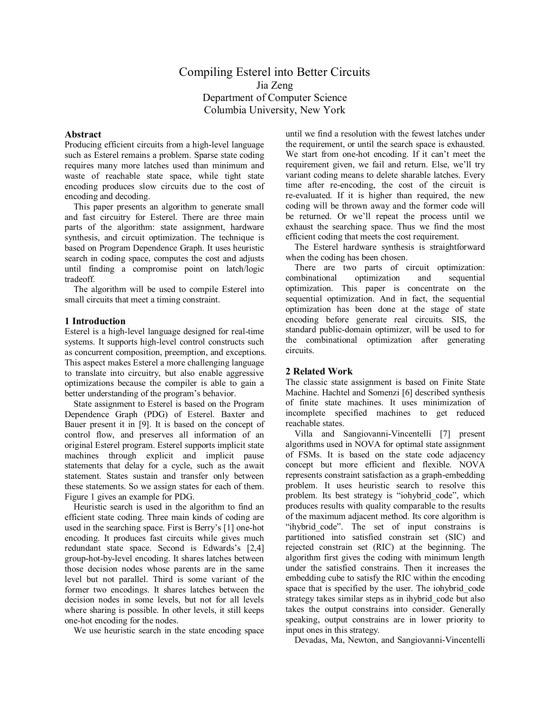# Compiling Esterel into Better Circuits Jia Zeng Department of Computer Science Columbia University, New York

#### **Abstract**

Producing efficient circuits from a high-level language such as Esterel remains a problem. Sparse state coding requires many more latches used than minimum and waste of reachable state space, while tight state encoding produces slow circuits due to the cost of encoding and decoding.

 This paper presents an algorithm to generate small and fast circuitry for Esterel. There are three main parts of the algorithm: state assignment, hardware synthesis, and circuit optimization. The technique is based on Program Dependence Graph. It uses heuristic search in coding space, computes the cost and adjusts until finding a compromise point on latch/logic tradeoff.

 The algorithm will be used to compile Esterel into small circuits that meet a timing constraint.

### **1 Introduction**

Esterel is a high-level language designed for real-time systems. It supports high-level control constructs such as concurrent composition, preemption, and exceptions. This aspect makes Esterel a more challenging language to translate into circuitry, but also enable aggressive optimizations because the compiler is able to gain a better understanding of the program's behavior.

State assignment to Esterel is based on the Program Dependence Graph (PDG) of Esterel. Baxter and Bauer present it in [9]. It is based on the concept of control flow, and preserves all information of an original Esterel program. Esterel supports implicit state machines through explicit and implicit pause statements that delay for a cycle, such as the await statement. States sustain and transfer only between these statements. So we assign states for each of them. Figure 1 gives an example for PDG.

Heuristic search is used in the algorithm to find an efficient state coding. Three main kinds of coding are used in the searching space. First is Berry's [1] one-hot encoding. It produces fast circuits while gives much redundant state space. Second is Edwards's [2,4] group-hot-by-level encoding. It shares latches between those decision nodes whose parents are in the same level but not parallel. Third is some variant of the former two encodings. It shares latches between the decision nodes in some levels, but not for all levels where sharing is possible. In other levels, it still keeps one-hot encoding for the nodes.

We use heuristic search in the state encoding space

until we find a resolution with the fewest latches under the requirement, or until the search space is exhausted. We start from one-hot encoding. If it can't meet the requirement given, we fail and return. Else, we'll try variant coding means to delete sharable latches. Every time after re-encoding, the cost of the circuit is re-evaluated. If it is higher than required, the new coding will be thrown away and the former code will be returned. Or we'll repeat the process until we exhaust the searching space. Thus we find the most efficient coding that meets the cost requirement.

The Esterel hardware synthesis is straightforward when the coding has been chosen.

There are two parts of circuit optimization: combinational optimization and sequential optimization. This paper is concentrate on the sequential optimization. And in fact, the sequential optimization has been done at the stage of state encoding before generate real circuits. SIS, the standard public-domain optimizer, will be used to for the combinational optimization after generating circuits.

## **2 Related Work**

The classic state assignment is based on Finite State Machine. Hachtel and Somenzi [6] described synthesis of finite state machines. It uses minimization of incomplete specified machines to get reduced reachable states.

Villa and Sangiovanni-Vincentelli [7] present algorithms used in NOVA for optimal state assignment of FSMs. It is based on the state code adjacency concept but more efficient and flexible. NOVA represents constraint satisfaction as a graph-embedding problem. It uses heuristic search to resolve this problem. Its best strategy is "iohybrid code", which produces results with quality comparable to the results of the maximum adjacent method. Its core algorithm is "ihybrid\_code". The set of input constrains is partitioned into satisfied constrain set (SIC) and rejected constrain set (RIC) at the beginning. The algorithm first gives the coding with minimum length under the satisfied constrains. Then it increases the embedding cube to satisfy the RIC within the encoding space that is specified by the user. The iohybrid\_code strategy takes similar steps as in ihybrid code but also takes the output constrains into consider. Generally speaking, output constrains are in lower priority to input ones in this strategy.

Devadas, Ma, Newton, and Sangiovanni-Vincentelli